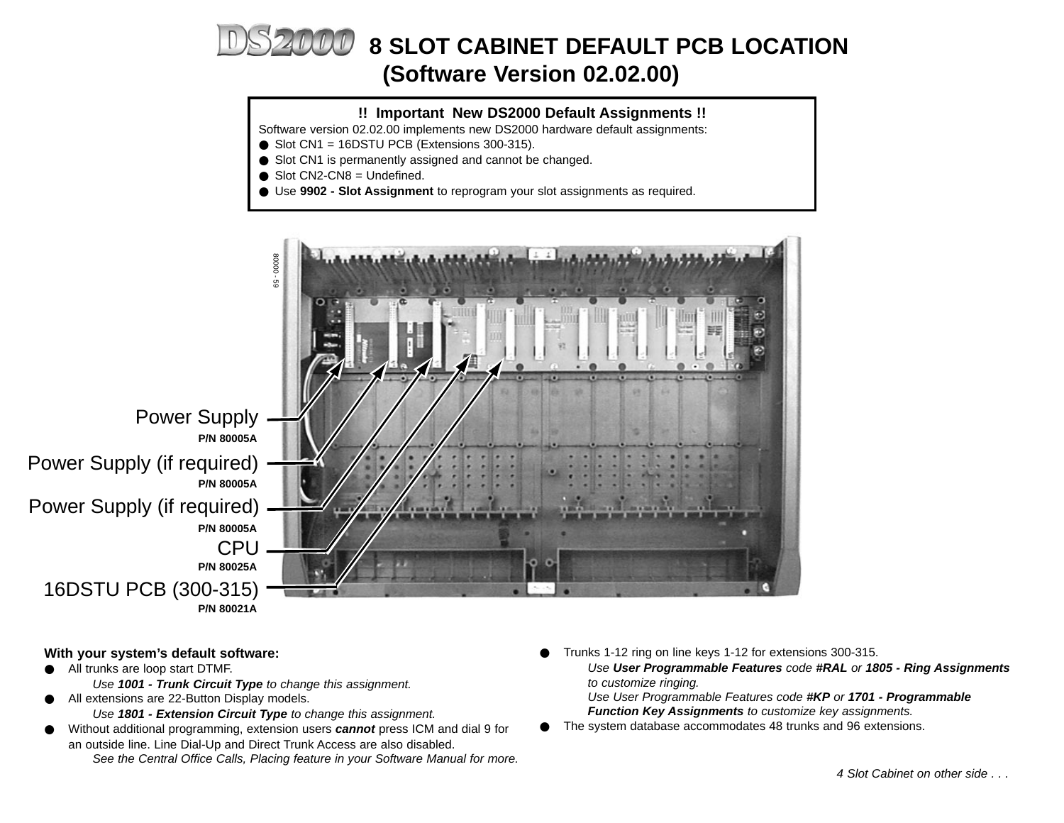# **8 SLOT CABINET DEFAULT PCB LOCATION (Software Version 02.02.00)**

# **!! Important New DS2000 Default Assignments !!**

Software version 02.02.00 implements new DS2000 hardware default assignments:

- $\bullet$  Slot CN1 = 16DSTU PCB (Extensions 300-315).
- Slot CN1 is permanently assigned and cannot be changed.
- $\bullet$  Slot CN2-CN8 = Undefined.
- Use **9902 Slot Assignment** to reprogram your slot assignments as required.



#### **With your system's default software:**

- All trunks are loop start DTMF.
	- Use **1001 Trunk Circuit Type** to change this assignment.
- All extensions are 22-Button Display models.
	- Use **1801 Extension Circuit Type** to change this assignment.
- Without additional programming, extension users **cannot** press ICM and dial 9 for an outside line. Line Dial-Up and Direct Trunk Access are also disabled. See the Central Office Calls, Placing feature in your Software Manual for more.
- Trunks 1-12 ring on line keys 1-12 for extensions 300-315. Use **User Programmable Features** code **#RAL** or **1805 - Ring Assignments** to customize ringing. Use User Programmable Features code **#KP** or **1701 - Programmable Function Key Assignments** to customize key assignments.
- The system database accommodates 48 trunks and 96 extensions.